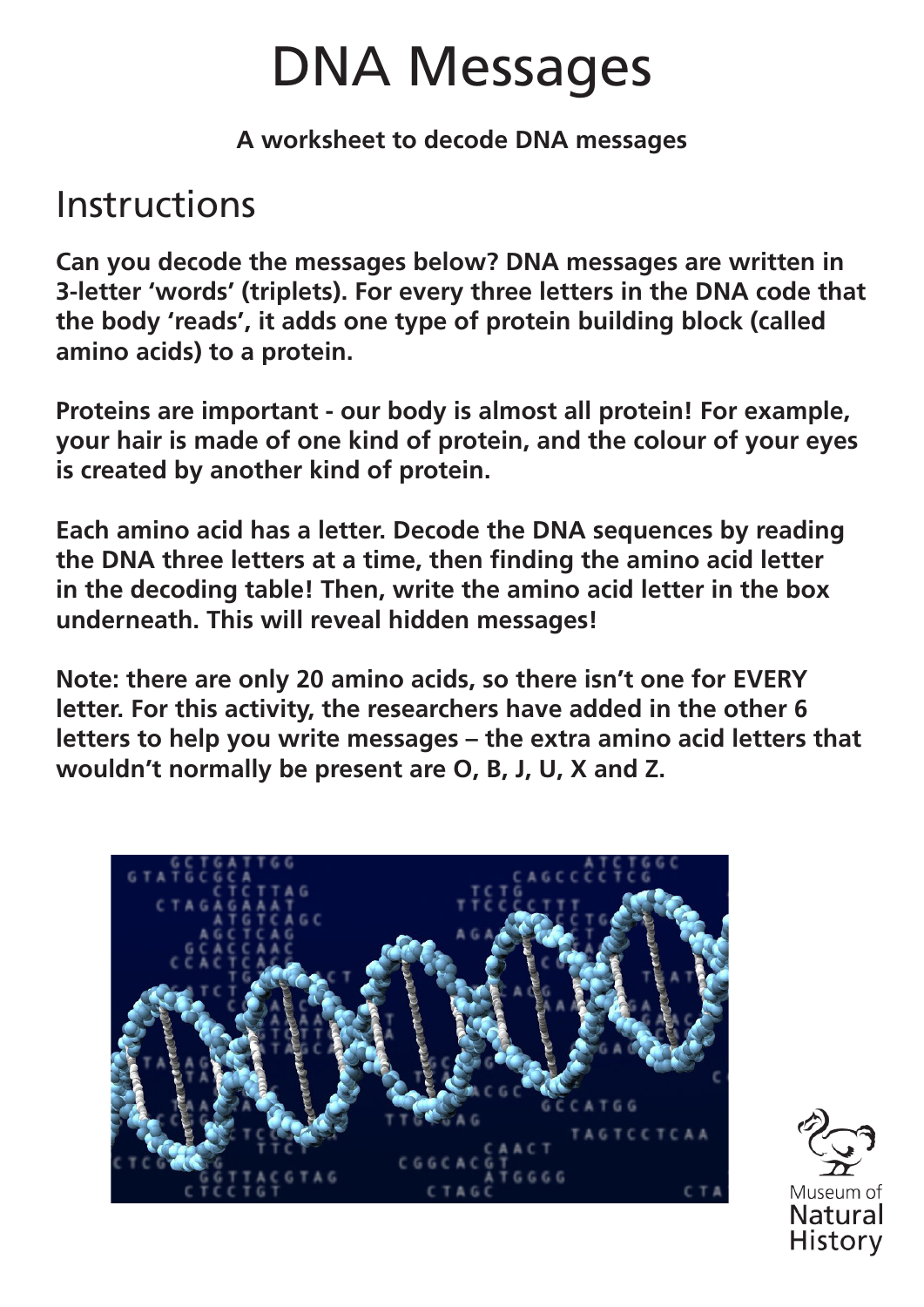# DNA Messages

**A worksheet to decode DNA messages**

### Instructions

**Can you decode the messages below? DNA messages are written in 3-letter 'words' (triplets). For every three letters in the DNA code that the body 'reads', it adds one type of protein building block (called amino acids) to a protein.** 

**Proteins are important - our body is almost all protein! For example, your hair is made of one kind of protein, and the colour of your eyes is created by another kind of protein.**

**Each amino acid has a letter. Decode the DNA sequences by reading the DNA three letters at a time, then finding the amino acid letter in the decoding table! Then, write the amino acid letter in the box underneath. This will reveal hidden messages!**

**Note: there are only 20 amino acids, so there isn't one for EVERY letter. For this activity, the researchers have added in the other 6 letters to help you write messages – the extra amino acid letters that wouldn't normally be present are O, B, J, U, X and Z.**



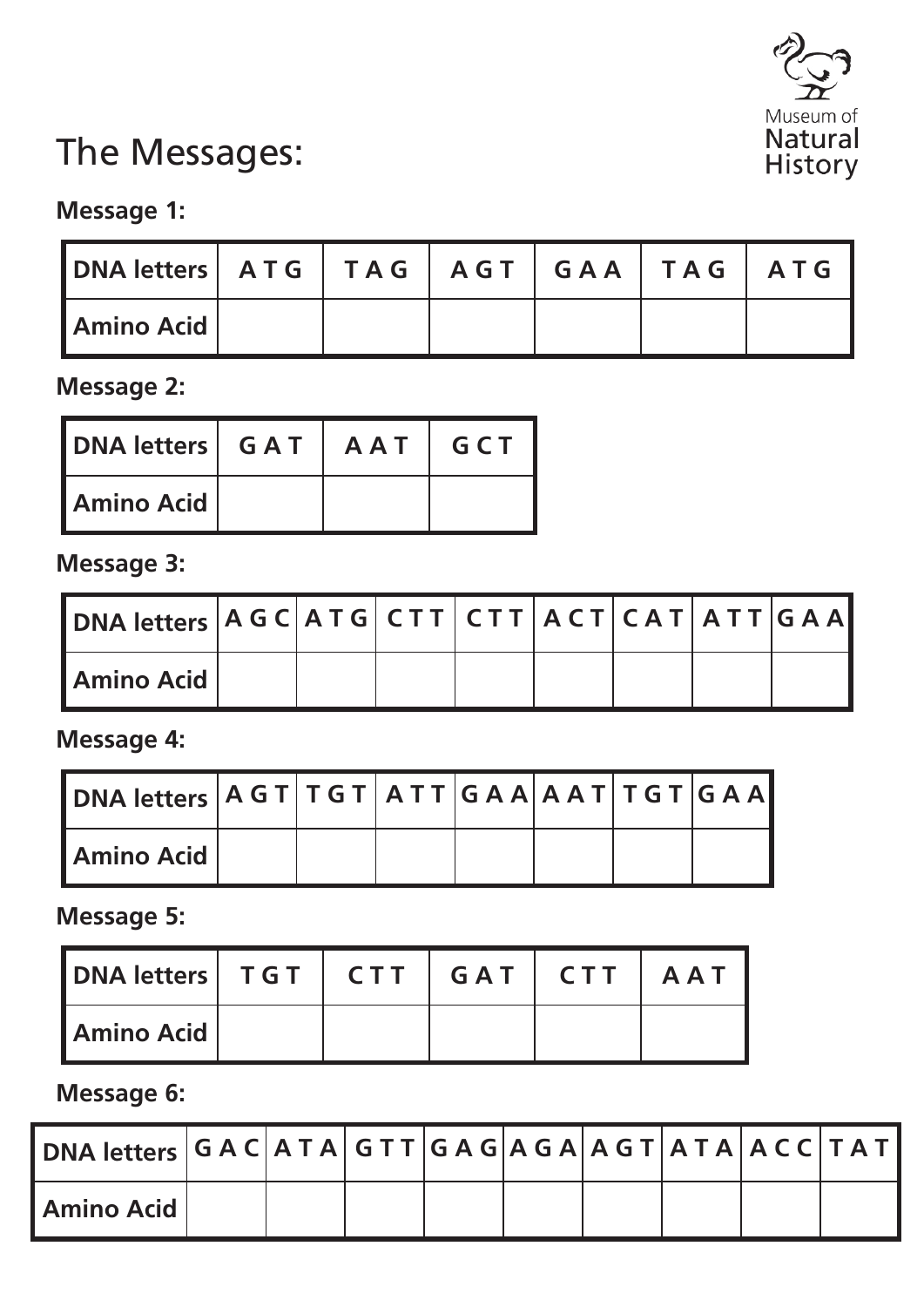

### The Messages:

#### **Message 1:**

| DNA letters   ATG   TAG   AGT   GAA   TAG   ATG |  |  |  |
|-------------------------------------------------|--|--|--|
| <b>LAmino Acid</b>                              |  |  |  |

**Message 2:**

| <b>DNA letters   GAT   AAT   GCT</b> |  |  |
|--------------------------------------|--|--|
| <b>Amino Acid</b>                    |  |  |

**Message 3:**

| DNA letters   A G C   A T G   C T T   C T T   A C T   C A T   A T T   G A A |  |  |  |  |
|-----------------------------------------------------------------------------|--|--|--|--|
| <b>LAmino Acid</b>                                                          |  |  |  |  |

**Message 4:**

| Amino Acid |  |  |  |  |
|------------|--|--|--|--|

**Message 5:**

| <b>IDNA letters   TGT   CTT   GAT   CTT   AAT</b> |  |  |  |
|---------------------------------------------------|--|--|--|
| <b>LAmino Acid</b>                                |  |  |  |

**Message 6:**

| $\vert$ DNA letters $\vert$ G A C $\vert$ A T A $\vert$ G T T $\vert$ G A G $\vert$ A G $\vert$ A G T $\vert$ A T A $\vert$ A C C $\vert$ T A T $\vert$ |  |  |  |  |  |
|---------------------------------------------------------------------------------------------------------------------------------------------------------|--|--|--|--|--|
| Amino Acid                                                                                                                                              |  |  |  |  |  |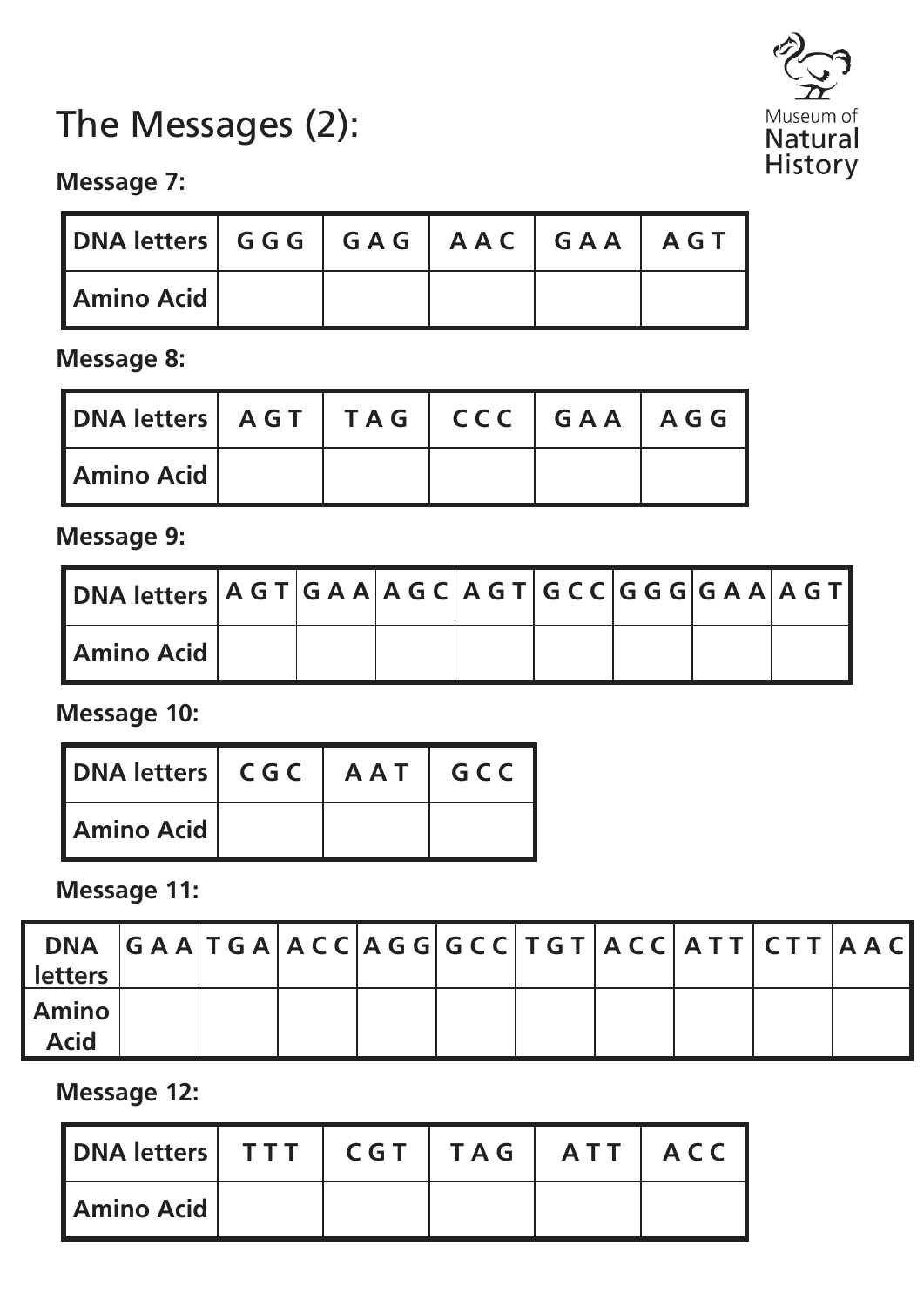# The Messages (2):



#### **Message 7:**

| DNA letters   GGG   GAG   AAC   GAA   AGT |  |  |  |
|-------------------------------------------|--|--|--|
| <b>I Amino Acid</b>                       |  |  |  |

**Message 8:**

| DNA letters   AGT   TAG   CCC   GAA   AGG |  |  |  |
|-------------------------------------------|--|--|--|
| <b>Amino Acid</b>                         |  |  |  |

**Message 9:**

| <b>Amino Acid</b> |  |  |  |  |
|-------------------|--|--|--|--|

**Message 10:**

| <b>DNA letters   CGC   AAT   GCC</b> |  |  |
|--------------------------------------|--|--|
| Amino Acid                           |  |  |

**Message 11:**

| <b>letters</b>              | DNA GAATGAACCAGGGGCCTGTACCATTCTTAAC |  |  |  |  |  |
|-----------------------------|-------------------------------------|--|--|--|--|--|
| <b>Amino</b><br><b>Acid</b> |                                     |  |  |  |  |  |

**Message 12:**

| DNA letters   TTT   CGT   TAG   ATT   ACC |  |  |  |
|-------------------------------------------|--|--|--|
| l Amino Acid                              |  |  |  |